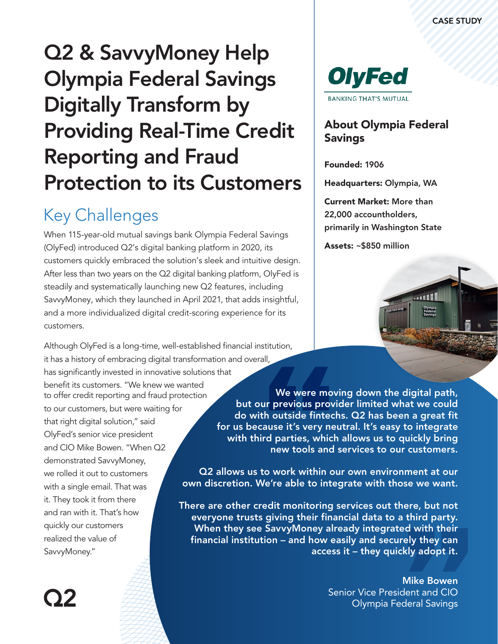# Q2 & SavvyMoney Help Olympia Federal Savings Digitally Transform by Providing Real-Time Credit Reporting and Fraud Protection to its Customers

### Key Challenges

When 115-year-old mutual savings bank Oly[mpia Federal](https://www.olyfed.com/) [Savings](https://www.olyfed.com/) (OlyFed) introduced Q2's digital banking platform in 2020, its customers quickly embraced the solution's sleek and intuitive design. After less than two years on the Q2 digital banking platform, OlyFed is steadily and systematically launching new Q2 features, including SavvyMoney, which they launched in April 2021, that adds insightful, and a more individualized digital credit-scoring experience for its customers.

to offer credit reporting and fraud protection to our customers, but were waiting for that right digital solution," said OlyFed's senior vice president and CIO Mike Bowen. "When Q2 demonstrated SavvyMoney, we rolled it out to customers with a single email. That was it. They took it from there and ran with it. That's how quickly our customers realized the value of SavvyMoney." Although OlyFed is a long-time, well-established financial institution, it has a history of embracing digital transformation and overall, has significantly invested in innovative solutions that benefit its customers. "We knew we wanted



### About Olympia Federal **Savings**

Founded: 1906

Headquarters: Olympia, WA

Current Market: More than 22,000 accountholders, primarily in Washington State

Assets: ~\$850 million



We were moving down the digital path, but our previous provider limited what we could do with outside fintechs. Q2 has been a great fit for us because it's very neutral. It's easy to integrate with third parties, which allows us to quickly bring new tools and services to our customers.

Q2 allows us to work within our own environment at our own discretion. We're able to integrate with those we want.

There are other credit monitoring services out there, but not everyone trusts giving their financial data to a third party. When they see SavvyMoney already integrated with their financial institution – and how easily and securely they can access it – they quickly adopt it.

> Mike Bowen Senior Vice President and CIO Olympia Federal Savings

02